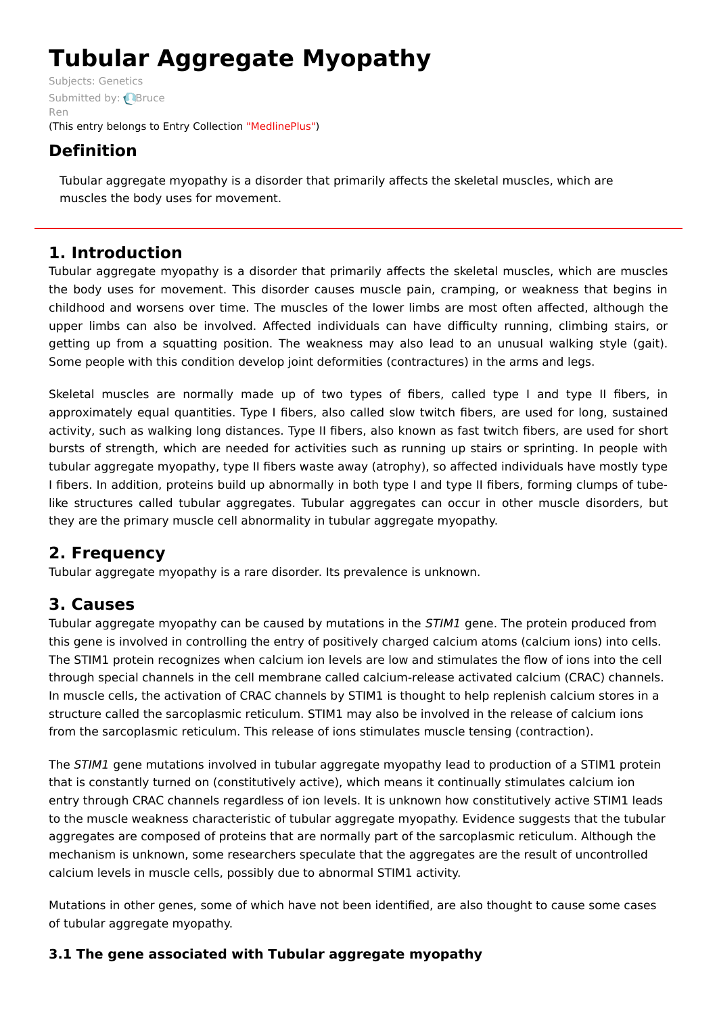# **Tubular Aggregate Myopathy**

Subjects: [Genetics](https://encyclopedia.pub/item/subject/56) [Submitted](https://sciprofiles.com/profile/1093911) by: **Bruce** Ren (This entry belongs to Entry Collection ["MedlinePlus"](https://encyclopedia.pub/entry/collection/24))

# **Definition**

Tubular aggregate myopathy is a disorder that primarily affects the skeletal muscles, which are muscles the body uses for movement.

# **1. Introduction**

Tubular aggregate myopathy is a disorder that primarily affects the skeletal muscles, which are muscles the body uses for movement. This disorder causes muscle pain, cramping, or weakness that begins in childhood and worsens over time. The muscles of the lower limbs are most often affected, although the upper limbs can also be involved. Affected individuals can have difficulty running, climbing stairs, or getting up from a squatting position. The weakness may also lead to an unusual walking style (gait). Some people with this condition develop joint deformities (contractures) in the arms and legs.

Skeletal muscles are normally made up of two types of fibers, called type I and type II fibers, in approximately equal quantities. Type I fibers, also called slow twitch fibers, are used for long, sustained activity, such as walking long distances. Type II fibers, also known as fast twitch fibers, are used for short bursts of strength, which are needed for activities such as running up stairs or sprinting. In people with tubular aggregate myopathy, type II fibers waste away (atrophy), so affected individuals have mostly type I fibers. In addition, proteins build up abnormally in both type I and type II fibers, forming clumps of tubelike structures called tubular aggregates. Tubular aggregates can occur in other muscle disorders, but they are the primary muscle cell abnormality in tubular aggregate myopathy.

# **2. Frequency**

Tubular aggregate myopathy is a rare disorder. Its prevalence is unknown.

# **3. Causes**

Tubular aggregate myopathy can be caused by mutations in the STIM1 gene. The protein produced from this gene is involved in controlling the entry of positively charged calcium atoms (calcium ions) into cells. The STIM1 protein recognizes when calcium ion levels are low and stimulates the flow of ions into the cell through special channels in the cell membrane called calcium-release activated calcium (CRAC) channels. In muscle cells, the activation of CRAC channels by STIM1 is thought to help replenish calcium stores in a structure called the sarcoplasmic reticulum. STIM1 may also be involved in the release of calcium ions from the sarcoplasmic reticulum. This release of ions stimulates muscle tensing (contraction).

The STIM1 gene mutations involved in tubular aggregate myopathy lead to production of a STIM1 protein that is constantly turned on (constitutively active), which means it continually stimulates calcium ion entry through CRAC channels regardless of ion levels. It is unknown how constitutively active STIM1 leads to the muscle weakness characteristic of tubular aggregate myopathy. Evidence suggests that the tubular aggregates are composed of proteins that are normally part of the sarcoplasmic reticulum. Although the mechanism is unknown, some researchers speculate that the aggregates are the result of uncontrolled calcium levels in muscle cells, possibly due to abnormal STIM1 activity.

Mutations in other genes, some of which have not been identified, are also thought to cause some cases of tubular aggregate myopathy.

## **3.1 The gene associated with Tubular aggregate myopathy**